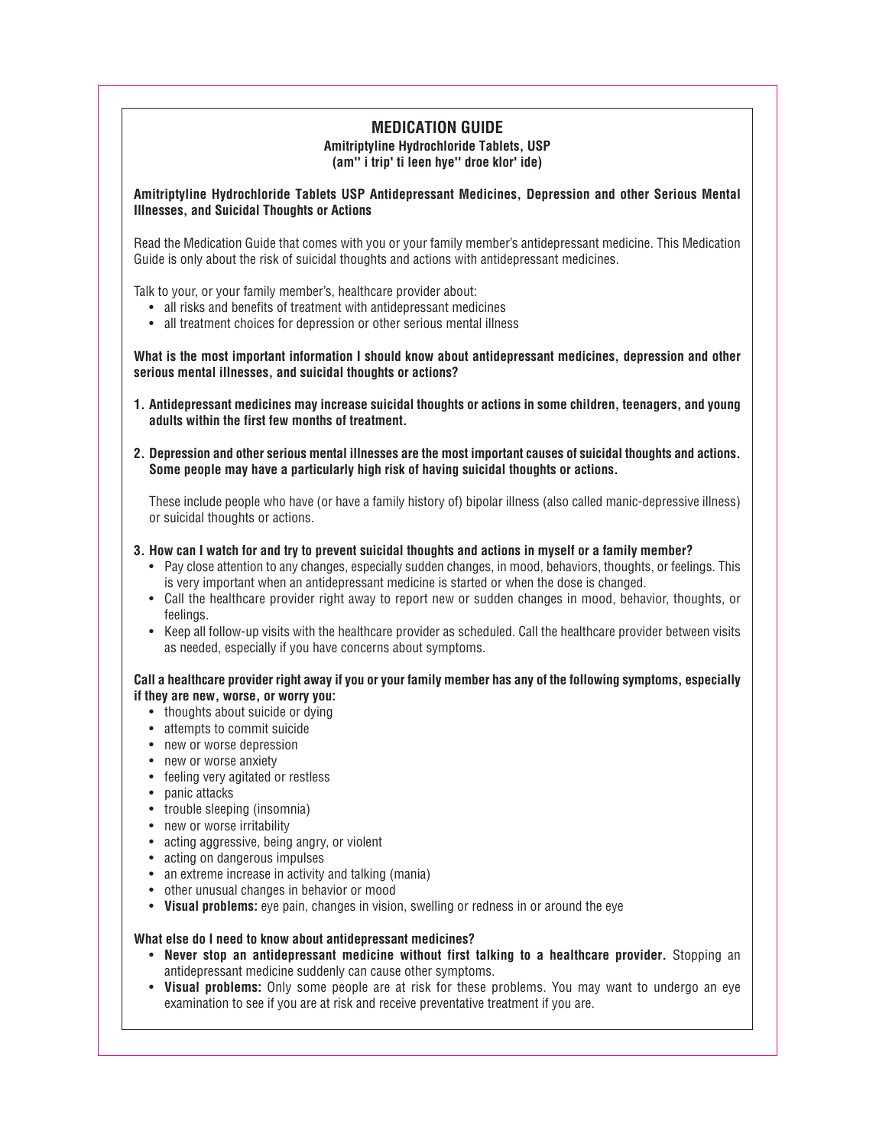# **MEDICATION GUIDE Amitriptyline Hydrochloride Tablets, USP (am'' i trip' ti leen hye'' droe klor' ide)**

#### **Amitriptyline Hydrochloride Tablets USP Antidepressant Medicines, Depression and other Serious Mental Illnesses, and Suicidal Thoughts or Actions**

Read the Medication Guide that comes with you or your family member's antidepressant medicine. This Medication Guide is only about the risk of suicidal thoughts and actions with antidepressant medicines.

Talk to your, or your family member's, healthcare provider about:

- all risks and benefits of treatment with antidepressant medicines
- all treatment choices for depression or other serious mental illness

**What is the most important information I should know about antidepressant medicines, depression and other serious mental illnesses, and suicidal thoughts or actions?**

- **1. Antidepressant medicines may increase suicidal thoughts or actions in some children, teenagers, and young adults within the first few months of treatment.**
- 2. Depression and other serious mental illnesses are the most important causes of suicidal thoughts and actions. **Some people may have a particularly high risk of having suicidal thoughts or actions.**

These include people who have (or have a family history of) bipolar illness (also called manic-depressive illness) or suicidal thoughts or actions.

## 3. How can I watch for and try to prevent suicidal thoughts and actions in myself or a family member?

- Pay close attention to any changes, especially sudden changes, in mood, behaviors, thoughts, or feelings. This is very important when an antidepressant medicine is started or when the dose is changed.
- Call the healthcare provider right away to report new or sudden changes in mood, behavior, thoughts, or feelings.
- Keep all follow-up visits with the healthcare provider as scheduled. Call the healthcare provider between visits as needed, especially if you have concerns about symptoms.

## Call a healthcare provider right away if you or your family member has any of the following symptoms, especially **if they are new, worse, or worry you:**

- thoughts about suicide or dying
- attempts to commit suicide
- new or worse depression
- new or worse anxiety
- feeling very agitated or restless
- panic attacks
- trouble sleeping (insomnia)
- new or worse irritability
- acting aggressive, being angry, or violent
- acting on dangerous impulses
- an extreme increase in activity and talking (mania)
- other unusual changes in behavior or mood
- **Visual problems:** eye pain, changes in vision, swelling or redness in or around the eye

## **What else do I need to know about antidepressant medicines?**

- **Never stop an antidepressant medicine without first talking to a healthcare provider.** Stopping an antidepressant medicine suddenly can cause other symptoms.
- **Visual problems:** Only some people are at risk for these problems. You may want to undergo an eye examination to see if you are at risk and receive preventative treatment if you are.